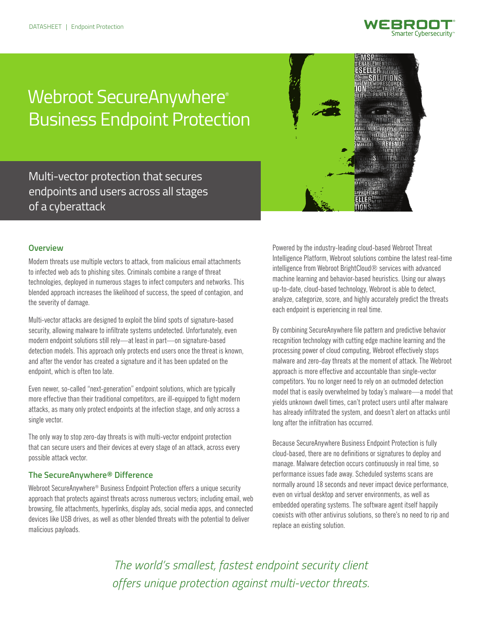

# Webroot SecureAnywhere® Business Endpoint Protection



Multi-vector protection that secures endpoints and users across all stages of a cyberattack

# **Overview**

Modern threats use multiple vectors to attack, from malicious email attachments to infected web ads to phishing sites. Criminals combine a range of threat technologies, deployed in numerous stages to infect computers and networks. This blended approach increases the likelihood of success, the speed of contagion, and the severity of damage.

Multi-vector attacks are designed to exploit the blind spots of signature-based security, allowing malware to infiltrate systems undetected. Unfortunately, even modern endpoint solutions still rely—at least in part—on signature-based detection models. This approach only protects end users once the threat is known, and after the vendor has created a signature and it has been updated on the endpoint, which is often too late.

Even newer, so-called "next-generation" endpoint solutions, which are typically more effective than their traditional competitors, are ill-equipped to fight modern attacks, as many only protect endpoints at the infection stage, and only across a single vector.

The only way to stop zero-day threats is with multi-vector endpoint protection that can secure users and their devices at every stage of an attack, across every possible attack vector.

# **The SecureAnywhere® Difference**

Webroot SecureAnywhere® Business Endpoint Protection offers a unique security approach that protects against threats across numerous vectors; including email, web browsing, file attachments, hyperlinks, display ads, social media apps, and connected devices like USB drives, as well as other blended threats with the potential to deliver malicious payloads.

Powered by the industry-leading cloud-based Webroot Threat Intelligence Platform, Webroot solutions combine the latest real-time intelligence from Webroot BrightCloud® services with advanced machine learning and behavior-based heuristics. Using our always up-to-date, cloud-based technology, Webroot is able to detect, analyze, categorize, score, and highly accurately predict the threats each endpoint is experiencing in real time.

By combining SecureAnywhere file pattern and predictive behavior recognition technology with cutting edge machine learning and the processing power of cloud computing, Webroot effectively stops malware and zero-day threats at the moment of attack. The Webroot approach is more effective and accountable than single-vector competitors. You no longer need to rely on an outmoded detection model that is easily overwhelmed by today's malware—a model that yields unknown dwell times, can't protect users until after malware has already infiltrated the system, and doesn't alert on attacks until long after the infiltration has occurred.

Because SecureAnywhere Business Endpoint Protection is fully cloud-based, there are no definitions or signatures to deploy and manage. Malware detection occurs continuously in real time, so performance issues fade away. Scheduled systems scans are normally around 18 seconds and never impact device performance, even on virtual desktop and server environments, as well as embedded operating systems. The software agent itself happily coexists with other antivirus solutions, so there's no need to rip and replace an existing solution.

*The world's smallest, fastest endpoint security client offers unique protection against multi-vector threats.*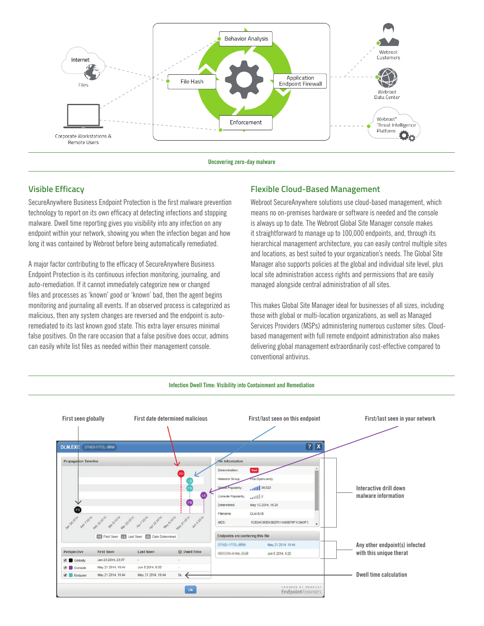

**Uncovering zero-day malware**

# **Visible Efficacy**

SecureAnywhere Business Endpoint Protection is the first malware prevention technology to report on its own efficacy at detecting infections and stopping malware. Dwell time reporting gives you visibility into any infection on any endpoint within your network, showing you when the infection began and how long it was contained by Webroot before being automatically remediated.

A major factor contributing to the efficacy of SecureAnywhere Business Endpoint Protection is its continuous infection monitoring, journaling, and auto-remediation. If it cannot immediately categorize new or changed files and processes as 'known' good or 'known' bad, then the agent begins monitoring and journaling all events. If an observed process is categorized as malicious, then any system changes are reversed and the endpoint is autoremediated to its last known good state. This extra layer ensures minimal false positives. On the rare occasion that a false positive does occur, admins can easily white list files as needed within their management console.

# **Flexible Cloud-Based Management**

Webroot SecureAnywhere solutions use cloud-based management, which means no on-premises hardware or software is needed and the console is always up to date. The Webroot Global Site Manager console makes it straightforward to manage up to 100,000 endpoints, and, through its hierarchical management architecture, you can easily control multiple sites and locations, as best suited to your organization's needs. The Global Site Manager also supports policies at the global and individual site level, plus local site administration access rights and permissions that are easily managed alongside central administration of all sites.

This makes Global Site Manager ideal for businesses of all sizes, including those with global or multi-location organizations, as well as Managed Services Providers (MSPs) administering numerous customer sites. Cloudbased management with full remote endpoint administration also makes delivering global management extraordinarily cost-effective compared to conventional antivirus.

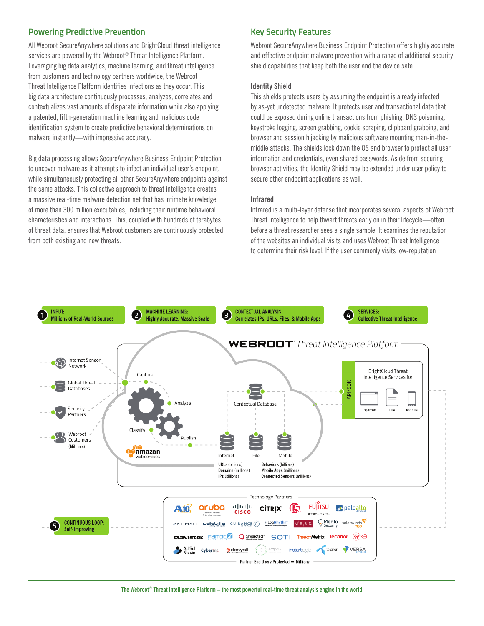# **Powering Predictive Prevention**

All Webroot SecureAnywhere solutions and BrightCloud threat intelligence services are powered by the Webroot® Threat Intelligence Platform. Leveraging big data analytics, machine learning, and threat intelligence from customers and technology partners worldwide, the Webroot Threat Intelligence Platform identifies infections as they occur. This big data architecture continuously processes, analyzes, correlates and contextualizes vast amounts of disparate information while also applying a patented, fifth-generation machine learning and malicious code identification system to create predictive behavioral determinations on malware instantly—with impressive accuracy.

Big data processing allows SecureAnywhere Business Endpoint Protection to uncover malware as it attempts to infect an individual user's endpoint, while simultaneously protecting all other SecureAnywhere endpoints against the same attacks. This collective approach to threat intelligence creates a massive real-time malware detection net that has intimate knowledge of more than 300 million executables, including their runtime behavioral characteristics and interactions. This, coupled with hundreds of terabytes of threat data, ensures that Webroot customers are continuously protected from both existing and new threats.

# **Key Security Features**

Webroot SecureAnywhere Business Endpoint Protection offers highly accurate and effective endpoint malware prevention with a range of additional security shield capabilities that keep both the user and the device safe.

#### **Identity Shield**

This shields protects users by assuming the endpoint is already infected by as-yet undetected malware. It protects user and transactional data that could be exposed during online transactions from phishing, DNS poisoning, keystroke logging, screen grabbing, cookie scraping, clipboard grabbing, and browser and session hijacking by malicious software mounting man-in-themiddle attacks. The shields lock down the OS and browser to protect all user information and credentials, even shared passwords. Aside from securing browser activities, the Identity Shield may be extended under user policy to secure other endpoint applications as well.

#### **Infrared**

Infrared is a multi-layer defense that incorporates several aspects of Webroot Threat Intelligence to help thwart threats early on in their lifecycle—often before a threat researcher sees a single sample. It examines the reputation of the websites an individual visits and uses Webroot Threat Intelligence to determine their risk level. If the user commonly visits low-reputation



**The Webroot® Threat Intelligence Platform – the most powerful real-time threat analysis engine in the world**